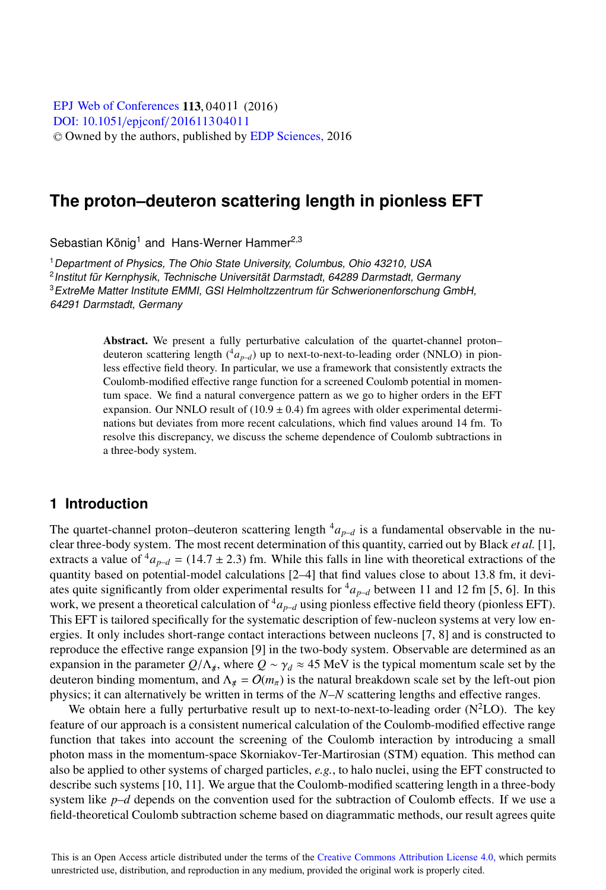[DOI: 10.1051](http://dx.doi.org/10.1051/epjconf/201611304011)/epjconf/201611304011 © Owned by the authors, published by [EDP Sciences,](http://www.edpsciences.org) 2016 **EPJ Web of [Conferences](http://www.epj-conferences.org) 113,04011 (2016)** 

# **The proton–deuteron scattering length in pionless EFT**

Sebastian König<sup>1</sup> and Hans-Werner Hammer<sup>2,3</sup>

<sup>1</sup> Department of Physics, The Ohio State University, Columbus, Ohio 43210, USA <sup>2</sup>Institut für Kernphysik, Technische Universität Darmstadt, 64289 Darmstadt, Germany <sup>3</sup> ExtreMe Matter Institute EMMI, GSI Helmholtzzentrum für Schwerionenforschung GmbH, 64291 Darmstadt, Germany

> Abstract. We present a fully perturbative calculation of the quartet-channel proton– deuteron scattering length  $({}^4a_{p-d})$  up to next-to-next-to-leading order (NNLO) in pionless effective field theory. In particular, we use a framework that consistently extracts the Coulomb-modified effective range function for a screened Coulomb potential in momentum space. We find a natural convergence pattern as we go to higher orders in the EFT expansion. Our NNLO result of  $(10.9 \pm 0.4)$  fm agrees with older experimental determinations but deviates from more recent calculations, which find values around 14 fm. To resolve this discrepancy, we discuss the scheme dependence of Coulomb subtractions in a three-body system.

## **1 Introduction**

The quartet-channel proton–deuteron scattering length  ${}^4a_{n-d}$  is a fundamental observable in the nuclear three-body system. The most recent determination of this quantity, carried out by Black *et al.* [1], extracts a value of  ${}^{4}a_{p-d}$  = (14.7 ± 2.3) fm. While this falls in line with theoretical extractions of the quantity based on potential-model calculations [2–4] that find values close to about 13.8 fm, it deviates quite significantly from older experimental results for  ${}^4a_{p-d}$  between 11 and 12 fm [5, 6]. In this work, we present a theoretical calculation of  ${}^4a_{p-d}$  using pionless effective field theory (pionless EFT). This EFT is tailored specifically for the systematic description of few-nucleon systems at very low energies. It only includes short-range contact interactions between nucleons [7, 8] and is constructed to reproduce the effective range expansion [9] in the two-body system. Observable are determined as an expansion in the parameter  $Q/\Lambda_{\pi}$ , where  $Q \sim \gamma_d \approx 45$  MeV is the typical momentum scale set by the deuteron binding momentum, and  $\Lambda_{\pi} = O(m_{\pi})$  is the natural breakdown scale set by the left-out pion physics; it can alternatively be written in terms of the *N*–*N* scattering lengths and effective ranges.

We obtain here a fully perturbative result up to next-to-next-to-leading order  $(N^2LO)$ . The key feature of our approach is a consistent numerical calculation of the Coulomb-modified effective range function that takes into account the screening of the Coulomb interaction by introducing a small photon mass in the momentum-space Skorniakov-Ter-Martirosian (STM) equation. This method can also be applied to other systems of charged particles, *e.g.*, to halo nuclei, using the EFT constructed to describe such systems [10, 11]. We argue that the Coulomb-modified scattering length in a three-body system like *p–d* depends on the convention used for the subtraction of Coulomb effects. If we use a field-theoretical Coulomb subtraction scheme based on diagrammatic methods, our result agrees quite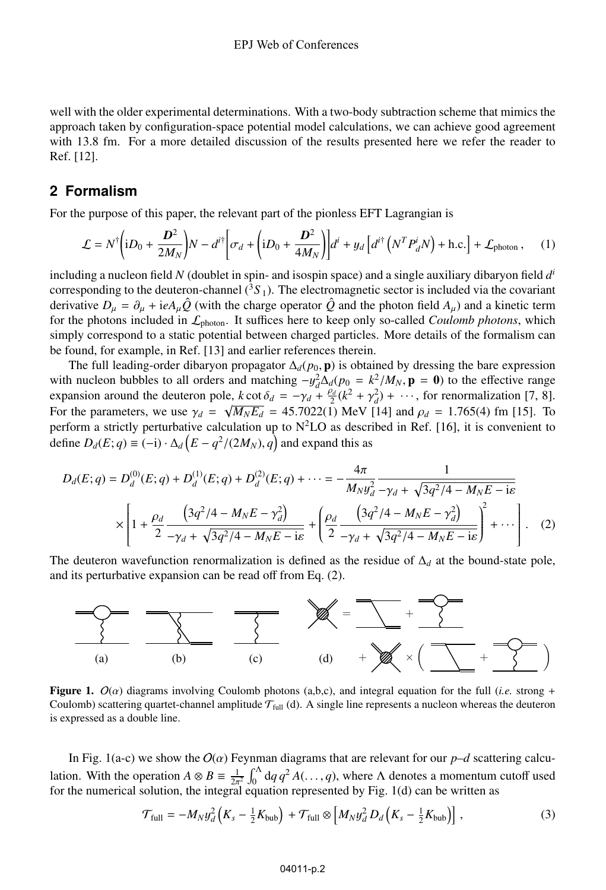well with the older experimental determinations. With a two-body subtraction scheme that mimics the approach taken by configuration-space potential model calculations, we can achieve good agreement with 13.8 fm. For a more detailed discussion of the results presented here we refer the reader to Ref. [12].

### **2 Formalism**

For the purpose of this paper, the relevant part of the pionless EFT Lagrangian is

$$
\mathcal{L} = N^{\dagger} \left( iD_0 + \frac{D^2}{2M_N} \right) N - d^{i\dagger} \left[ \sigma_d + \left( iD_0 + \frac{D^2}{4M_N} \right) \right] d^i + y_d \left[ d^{i\dagger} \left( N^T P_d^i N \right) + \text{h.c.} \right] + \mathcal{L}_{\text{photon}} \,, \tag{1}
$$

including a nucleon field *N* (doublet in spin- and isospin space) and a single auxiliary dibaryon field *d<sup>i</sup>* corresponding to the deuteron-channel  $({}^{3}S_{1})$ . The electromagnetic sector is included via the covariant derivative  $D_{\mu} = \partial_{\mu} + i e A_{\mu} \hat{Q}$  (with the charge operator  $\hat{Q}$  and the photon field  $A_{\mu}$ ) and a kinetic term for the photons included in Lphoton. It suffices here to keep only so-called *Coulomb photons*, which simply correspond to a static potential between charged particles. More details of the formalism can be found, for example, in Ref. [13] and earlier references therein.

The full leading-order dibaryon propagator  $\Delta_d(p_0, \mathbf{p})$  is obtained by dressing the bare expression with nucleon bubbles to all orders and matching  $-y_d^2 \Delta_d(p_0 = k^2/M_N, \mathbf{p} = \mathbf{0})$  to the effective range expansion around the deuteron pole,  $k \cot \delta_d = -\gamma_d + \frac{\rho_d}{2}(k^2 + \gamma_d^2) + \cdots$ , for renormalization [7, 8]. For the parameters, we use  $\gamma_d = \sqrt{M_N E_d} = 45.7022(1)$  MeV [14] and  $\rho_d = 1.765(4)$  fm [15]. To perform a strictly perturbative calculation up to  $N^2LO$  as described in Ref. [16], it is convenient to define  $D_d(E; q) \equiv (-i) \cdot \Delta_d (E - q^2/(2M_N), q)$  and expand this as

$$
D_d(E; q) = D_d^{(0)}(E; q) + D_d^{(1)}(E; q) + D_d^{(2)}(E; q) + \dots = -\frac{4\pi}{M_N y_d^2} \frac{1}{-\gamma_d + \sqrt{3q^2/4 - M_N E - i\varepsilon}}
$$
  
 
$$
\times \left[1 + \frac{\rho_d}{2} \frac{\left(3q^2/4 - M_N E - \gamma_d^2\right)}{-\gamma_d + \sqrt{3q^2/4 - M_N E - i\varepsilon}} + \left(\frac{\rho_d}{2} \frac{\left(3q^2/4 - M_N E - \gamma_d^2\right)}{-\gamma_d + \sqrt{3q^2/4 - M_N E - i\varepsilon}}\right)^2 + \dots\right].
$$
 (2)

The deuteron wavefunction renormalization is defined as the residue of  $\Delta_d$  at the bound-state pole, and its perturbative expansion can be read off from Eq. (2).



Figure 1.  $O(\alpha)$  diagrams involving Coulomb photons (a,b,c), and integral equation for the full (*i.e.* strong + Coulomb) scattering quartet-channel amplitude  $\mathcal{T}_{full}$  (d). A single line represents a nucleon whereas the deuteron is expressed as a double line.

In Fig. 1(a-c) we show the  $O(\alpha)$  Feynman diagrams that are relevant for our  $p-d$  scattering calculation. With the operation  $A \otimes B = \frac{1}{2\pi^2} \int_0^A dq q^2 A(\dots, q)$ , where  $\Lambda$  denotes a momentum cutoff used for the numerical solution, the integral equation represented by Fig. 1(d) can be written as

$$
\mathcal{T}_{\text{full}} = -M_N y_d^2 \left( K_s - \frac{1}{2} K_{\text{bub}} \right) + \mathcal{T}_{\text{full}} \otimes \left[ M_N y_d^2 D_d \left( K_s - \frac{1}{2} K_{\text{bub}} \right) \right],\tag{3}
$$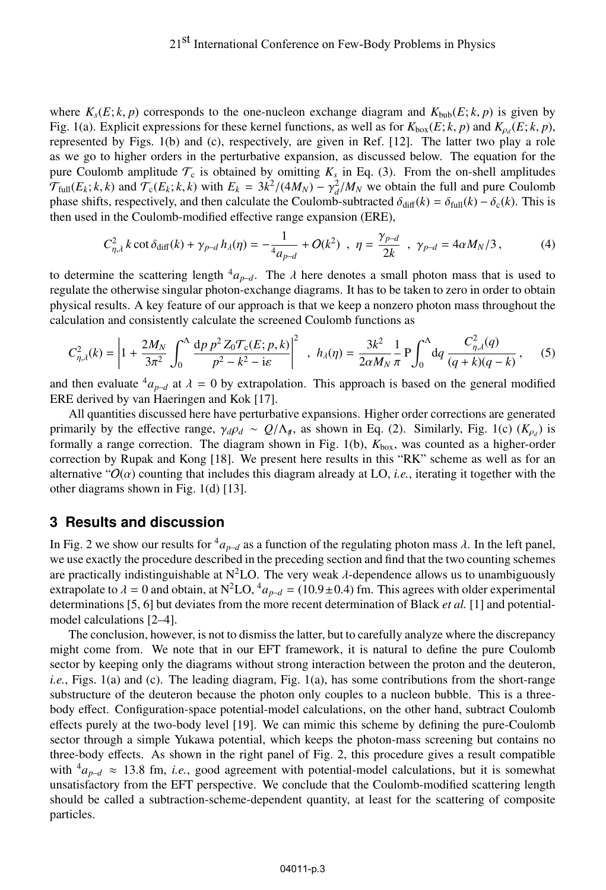where  $K_s(E; k, p)$  corresponds to the one-nucleon exchange diagram and  $K_{\text{bub}}(E; k, p)$  is given by Fig. 1(a). Explicit expressions for these kernel functions, as well as for  $K_{\text{box}}(E; k, p)$  and  $K_{\text{tot}}(E; k, p)$ , represented by Figs. 1(b) and (c), respectively, are given in Ref. [12]. The latter two play a role as we go to higher orders in the perturbative expansion, as discussed below. The equation for the pure Coulomb amplitude  $\mathcal{T}_c$  is obtained by omitting  $K_s$  in Eq. (3). From the on-shell amplitudes  $\mathcal{T}_{full}(E_k; k, k)$  and  $\mathcal{T}_{c}(E_k; k, k)$  with  $E_k = 3k^2/(4M_N) - \gamma_d^2/M_N$  we obtain the full and pure Coulomb phase shifts, respectively, and then calculate the Coulomb-subtracted  $\delta_{\text{diff}}(k) = \delta_{\text{full}}(k) - \delta_{\text{c}}(k)$ . This is then used in the Coulomb-modified effective range expansion (ERE),

$$
C_{\eta,\lambda}^2 k \cot \delta_{\text{diff}}(k) + \gamma_{p-d} h_{\lambda}(\eta) = -\frac{1}{4a_{p-d}} + O(k^2) , \ \ \eta = \frac{\gamma_{p-d}}{2k} , \ \ \gamma_{p-d} = 4\alpha M_N/3 , \tag{4}
$$

to determine the scattering length  ${}^4a_{p-d}$ . The  $\lambda$  here denotes a small photon mass that is used to regulate the otherwise singular photon-exchange diagrams. It has to be taken to zero in order to obtain physical results. A key feature of our approach is that we keep a nonzero photon mass throughout the calculation and consistently calculate the screened Coulomb functions as

$$
C_{\eta,\lambda}^2(k) = \left| 1 + \frac{2M_N}{3\pi^2} \int_0^{\Lambda} \frac{dp \, p^2 Z_0 \mathcal{T}_c(E; p, k)}{p^2 - k^2 - i\varepsilon} \right|^2 \ , \ h_{\lambda}(\eta) = \frac{3k^2}{2\alpha M_N} \frac{1}{\pi} P \int_0^{\Lambda} dq \, \frac{C_{\eta,\lambda}^2(q)}{(q+k)(q-k)}, \quad (5)
$$

and then evaluate  $^{4}a_{p-d}$  at  $\lambda = 0$  by extrapolation. This approach is based on the general modified ERE derived by van Haeringen and Kok [17].

All quantities discussed here have perturbative expansions. Higher order corrections are generated primarily by the effective range,  $\gamma_d \rho_d \sim Q/\Lambda_{\star}$ , as shown in Eq. (2). Similarly, Fig. 1(c) ( $K_{\rho_d}$ ) is formally a range correction. The diagram shown in Fig. 1(b),  $K_{box}$ , was counted as a higher-order correction by Rupak and Kong [18]. We present here results in this "RK" scheme as well as for an alternative " $O(\alpha)$  counting that includes this diagram already at LO, *i.e.*, iterating it together with the other diagrams shown in Fig. 1(d) [13].

#### **3 Results and discussion**

In Fig. 2 we show our results for  ${}^4a_{p-d}$  as a function of the regulating photon mass  $\lambda$ . In the left panel, we use exactly the procedure described in the preceding section and find that the two counting schemes are practically indistinguishable at  $N^2LO$ . The very weak  $\lambda$ -dependence allows us to unambiguously extrapolate to  $\lambda = 0$  and obtain, at N<sup>2</sup>LO,  ${}^4a_{p-d} = (10.9 \pm 0.4)$  fm. This agrees with older experimental determinations [5, 6] but deviates from the more recent determination of Black *et al.* [1] and potentialmodel calculations [2–4].

The conclusion, however, is not to dismiss the latter, but to carefully analyze where the discrepancy might come from. We note that in our EFT framework, it is natural to define the pure Coulomb sector by keeping only the diagrams without strong interaction between the proton and the deuteron, *i.e.*, Figs. 1(a) and (c). The leading diagram, Fig. 1(a), has some contributions from the short-range substructure of the deuteron because the photon only couples to a nucleon bubble. This is a threebody effect. Configuration-space potential-model calculations, on the other hand, subtract Coulomb effects purely at the two-body level [19]. We can mimic this scheme by defining the pure-Coulomb sector through a simple Yukawa potential, which keeps the photon-mass screening but contains no three-body effects. As shown in the right panel of Fig. 2, this procedure gives a result compatible with  ${}^4a_{p-d} \approx 13.8$  fm, *i.e.*, good agreement with potential-model calculations, but it is somewhat unsatisfactory from the EFT perspective. We conclude that the Coulomb-modified scattering length should be called a subtraction-scheme-dependent quantity, at least for the scattering of composite particles.